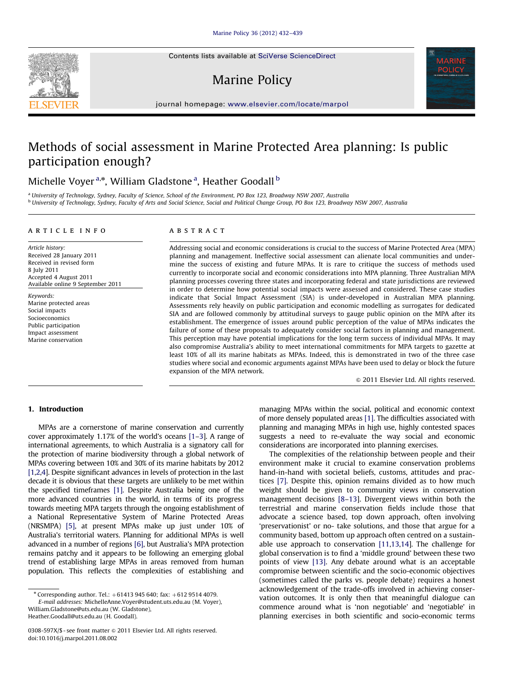Contents lists available at [SciVerse ScienceDirect](www.elsevier.com/locate/marpol)

# Marine Policy



journal homepage: <www.elsevier.com/locate/marpol>

# Methods of social assessment in Marine Protected Area planning: Is public participation enough?

Michelle Voyer <sup>a,\*</sup>, William Gladstone <sup>a</sup>, Heather Goodall <sup>b</sup>

<sup>a</sup> University of Technology, Sydney, Faculty of Science, School of the Environment, PO Box 123, Broadway NSW 2007, Australia <sup>b</sup> University of Technology, Sydney, Faculty of Arts and Social Science, Social and Political Change Group, PO Box 123, Broadway NSW 2007, Australia

#### article info

Article history: Received 28 January 2011 Received in revised form 8 July 2011 Accepted 4 August 2011 Available online 9 September 2011

Keywords: Marine protected areas Social impacts Socioeconomics Public participation Impact assessment Marine conservation

# **ABSTRACT**

Addressing social and economic considerations is crucial to the success of Marine Protected Area (MPA) planning and management. Ineffective social assessment can alienate local communities and undermine the success of existing and future MPAs. It is rare to critique the success of methods used currently to incorporate social and economic considerations into MPA planning. Three Australian MPA planning processes covering three states and incorporating federal and state jurisdictions are reviewed in order to determine how potential social impacts were assessed and considered. These case studies indicate that Social Impact Assessment (SIA) is under-developed in Australian MPA planning. Assessments rely heavily on public participation and economic modelling as surrogates for dedicated SIA and are followed commonly by attitudinal surveys to gauge public opinion on the MPA after its establishment. The emergence of issues around public perception of the value of MPAs indicates the failure of some of these proposals to adequately consider social factors in planning and management. This perception may have potential implications for the long term success of individual MPAs. It may also compromise Australia's ability to meet international commitments for MPA targets to gazette at least 10% of all its marine habitats as MPAs. Indeed, this is demonstrated in two of the three case studies where social and economic arguments against MPAs have been used to delay or block the future expansion of the MPA network.

 $\odot$  2011 Elsevier Ltd. All rights reserved.

#### 1. Introduction

MPAs are a cornerstone of marine conservation and currently cover approximately 1.17% of the world's oceans [\[1–3\]](#page-5-0). A range of international agreements, to which Australia is a signatory call for the protection of marine biodiversity through a global network of MPAs covering between 10% and 30% of its marine habitats by 2012 [\[1,2,4](#page-5-0)]. Despite significant advances in levels of protection in the last decade it is obvious that these targets are unlikely to be met within the specified timeframes [\[1\].](#page-5-0) Despite Australia being one of the more advanced countries in the world, in terms of its progress towards meeting MPA targets through the ongoing establishment of a National Representative System of Marine Protected Areas (NRSMPA) [\[5\]](#page-5-0), at present MPAs make up just under 10% of Australia's territorial waters. Planning for additional MPAs is well advanced in a number of regions [\[6\],](#page-6-0) but Australia's MPA protection remains patchy and it appears to be following an emerging global trend of establishing large MPAs in areas removed from human population. This reflects the complexities of establishing and

E-mail addresses: [MichelleAnne.Voyer@student.uts.edu.au \(M. Voyer\),](mailto:MichelleAnne.Voyer@student.uts.edu.au) [William.Gladstone@uts.edu.au \(W. Gladstone\),](mailto:William.Gladstone@uts.edu.au) [Heather.Goodall@uts.edu.au \(H. Goodall\)](mailto:Heather.Goodall@uts.edu.au).

managing MPAs within the social, political and economic context of more densely populated areas [\[1\].](#page-5-0) The difficulties associated with planning and managing MPAs in high use, highly contested spaces suggests a need to re-evaluate the way social and economic considerations are incorporated into planning exercises.

The complexities of the relationship between people and their environment make it crucial to examine conservation problems hand-in-hand with societal beliefs, customs, attitudes and practices [\[7\]](#page-6-0). Despite this, opinion remains divided as to how much weight should be given to community views in conservation management decisions [\[8–13](#page-6-0)]. Divergent views within both the terrestrial and marine conservation fields include those that advocate a science based, top down approach, often involving 'preservationist' or no- take solutions, and those that argue for a community based, bottom up approach often centred on a sustainable use approach to conservation [\[11,13,14\]](#page-6-0). The challenge for global conservation is to find a 'middle ground' between these two points of view [\[13\].](#page-6-0) Any debate around what is an acceptable compromise between scientific and the socio-economic objectives (sometimes called the parks vs. people debate) requires a honest acknowledgement of the trade-offs involved in achieving conservation outcomes. It is only then that meaningful dialogue can commence around what is 'non negotiable' and 'negotiable' in planning exercises in both scientific and socio-economic terms

 $*$  Corresponding author. Tel.:  $+61413$  945 640; fax:  $+612$  9514 4079.

<sup>0308-597</sup>X/\$ - see front matter  $\circ$  2011 Elsevier Ltd. All rights reserved. doi:[10.1016/j.marpol.2011.08.002](dx.doi.org/10.1016/j.marpol.2011.08.002)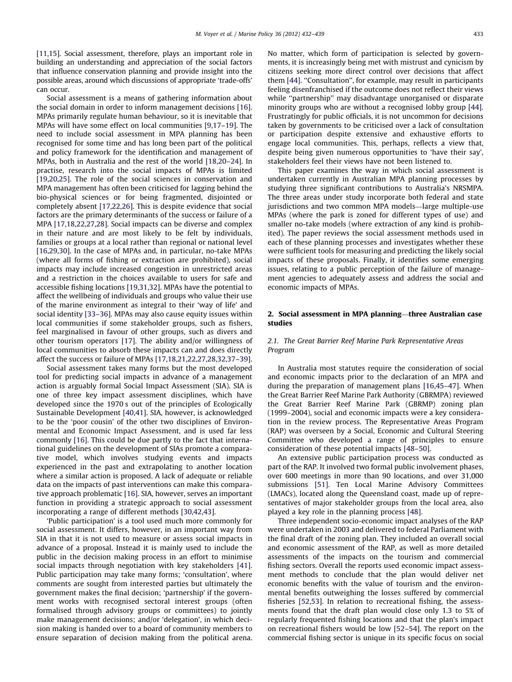<span id="page-1-0"></span>[\[11,15](#page-6-0)]. Social assessment, therefore, plays an important role in building an understanding and appreciation of the social factors that influence conservation planning and provide insight into the possible areas, around which discussions of appropriate 'trade-offs' can occur.

Social assessment is a means of gathering information about the social domain in order to inform management decisions [\[16\].](#page-6-0) MPAs primarily regulate human behaviour, so it is inevitable that MPAs will have some effect on local communities [\[9,17–19\]](#page-6-0). The need to include social assessment in MPA planning has been recognised for some time and has long been part of the political and policy framework for the identification and management of MPAs, both in Australia and the rest of the world [\[18](#page-6-0),[20–24\]](#page-6-0). In practise, research into the social impacts of MPAs is limited [\[19,20,25](#page-6-0)]. The role of the social sciences in conservation and MPA management has often been criticised for lagging behind the bio-physical sciences or for being fragmented, disjointed or completely absent [\[17,22,26](#page-6-0)]. This is despite evidence that social factors are the primary determinants of the success or failure of a MPA [\[17,18](#page-6-0),[22,27,28\]](#page-6-0). Social impacts can be diverse and complex in their nature and are most likely to be felt by individuals, families or groups at a local rather than regional or national level [\[16,29,30](#page-6-0)]. In the case of MPAs and, in particular, no-take MPAs (where all forms of fishing or extraction are prohibited), social impacts may include increased congestion in unrestricted areas and a restriction in the choices available to users for safe and accessible fishing locations [\[19,31,32](#page-6-0)]. MPAs have the potential to affect the wellbeing of individuals and groups who value their use of the marine environment as integral to their 'way of life' and social identity [\[33–36\]](#page-6-0). MPAs may also cause equity issues within local communities if some stakeholder groups, such as fishers, feel marginalised in favour of other groups, such as divers and other tourism operators [\[17\]](#page-6-0). The ability and/or willingness of local communities to absorb these impacts can and does directly affect the success or failure of MPAs [\[17,18,21,22,27,28,32,37](#page-6-0)–[39\]](#page-6-0).

Social assessment takes many forms but the most developed tool for predicting social impacts in advance of a management action is arguably formal Social Impact Assessment (SIA). SIA is one of three key impact assessment disciplines, which have developed since the 1970 s out of the principles of Ecologically Sustainable Development [\[40,41](#page-6-0)]. SIA, however, is acknowledged to be the 'poor cousin' of the other two disciplines of Environmental and Economic Impact Assessment, and is used far less commonly [\[16\].](#page-6-0) This could be due partly to the fact that international guidelines on the development of SIAs promote a comparative model, which involves studying events and impacts experienced in the past and extrapolating to another location where a similar action is proposed. A lack of adequate or reliable data on the impacts of past interventions can make this comparative approach problematic [\[16\]](#page-6-0). SIA, however, serves an important function in providing a strategic approach to social assessment incorporating a range of different methods [\[30,42,43](#page-6-0)].

'Public participation' is a tool used much more commonly for social assessment. It differs, however, in an important way from SIA in that it is not used to measure or assess social impacts in advance of a proposal. Instead it is mainly used to include the public in the decision making process in an effort to minimise social impacts through negotiation with key stakeholders [\[41\].](#page-6-0) Public participation may take many forms; 'consultation', where comments are sought from interested parties but ultimately the government makes the final decision; 'partnership' if the government works with recognised sectoral interest groups (often formalised through advisory groups or committees) to jointly make management decisions; and/or 'delegation', in which decision making is handed over to a board of community members to ensure separation of decision making from the political arena. No matter, which form of participation is selected by governments, it is increasingly being met with mistrust and cynicism by citizens seeking more direct control over decisions that affect them [\[44\].](#page-6-0) ''Consultation'', for example, may result in participants feeling disenfranchised if the outcome does not reflect their views while ''partnership'' may disadvantage unorganised or disparate minority groups who are without a recognised lobby group [\[44\].](#page-6-0) Frustratingly for public officials, it is not uncommon for decisions taken by governments to be criticised over a lack of consultation or participation despite extensive and exhaustive efforts to engage local communities. This, perhaps, reflects a view that, despite being given numerous opportunities to 'have their say', stakeholders feel their views have not been listened to.

This paper examines the way in which social assessment is undertaken currently in Australian MPA planning processes by studying three significant contributions to Australia's NRSMPA. The three areas under study incorporate both federal and state jurisdictions and two common MPA models—large multiple-use MPAs (where the park is zoned for different types of use) and smaller no-take models (where extraction of any kind is prohibited). The paper reviews the social assessment methods used in each of these planning processes and investigates whether these were sufficient tools for measuring and predicting the likely social impacts of these proposals. Finally, it identifies some emerging issues, relating to a public perception of the failure of management agencies to adequately assess and address the social and economic impacts of MPAs.

# 2. Social assessment in MPA planning—three Australian case studies

# 2.1. The Great Barrier Reef Marine Park Representative Areas Program

In Australia most statutes require the consideration of social and economic impacts prior to the declaration of an MPA and during the preparation of management plans [\[16,45–47](#page-6-0)]. When the Great Barrier Reef Marine Park Authority (GBRMPA) reviewed the Great Barrier Reef Marine Park (GBRMP) zoning plan (1999–2004), social and economic impacts were a key consideration in the review process. The Representative Areas Program (RAP) was overseen by a Social, Economic and Cultural Steering Committee who developed a range of principles to ensure consideration of these potential impacts [\[48–50\]](#page-6-0).

An extensive public participation process was conducted as part of the RAP. It involved two formal public involvement phases, over 600 meetings in more than 90 locations, and over 31,000 submissions [\[51\].](#page-6-0) Ten Local Marine Advisory Committees (LMACs), located along the Queensland coast, made up of representatives of major stakeholder groups from the local area, also played a key role in the planning process [\[48\].](#page-6-0)

Three independent socio-economic impact analyses of the RAP were undertaken in 2003 and delivered to federal Parliament with the final draft of the zoning plan. They included an overall social and economic assessment of the RAP, as well as more detailed assessments of the impacts on the tourism and commercial fishing sectors. Overall the reports used economic impact assessment methods to conclude that the plan would deliver net economic benefits with the value of tourism and the environmental benefits outweighing the losses suffered by commercial fisheries [\[52,53\]](#page-6-0). In relation to recreational fishing, the assessments found that the draft plan would close only 1.3 to 5% of regularly frequented fishing locations and that the plan's impact on recreational fishers would be low [\[52–54](#page-6-0)]. The report on the commercial fishing sector is unique in its specific focus on social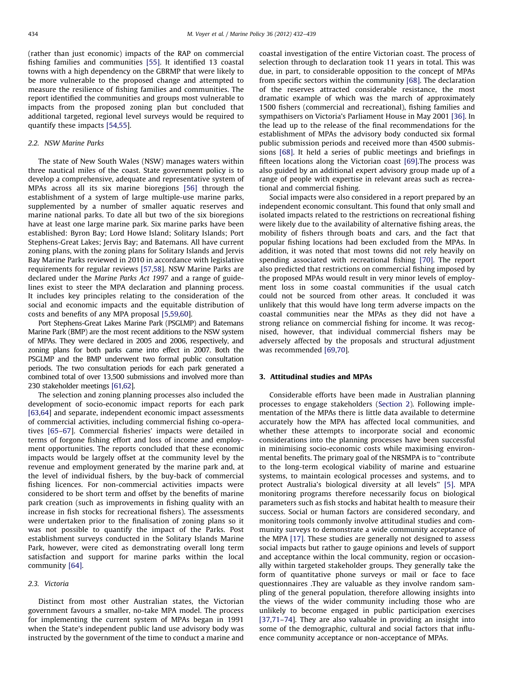<span id="page-2-0"></span>(rather than just economic) impacts of the RAP on commercial fishing families and communities [\[55\]](#page-6-0). It identified 13 coastal towns with a high dependency on the GBRMP that were likely to be more vulnerable to the proposed change and attempted to measure the resilience of fishing families and communities. The report identified the communities and groups most vulnerable to impacts from the proposed zoning plan but concluded that additional targeted, regional level surveys would be required to quantify these impacts [\[54,55\]](#page-6-0).

#### 2.2. NSW Marine Parks

The state of New South Wales (NSW) manages waters within three nautical miles of the coast. State government policy is to develop a comprehensive, adequate and representative system of MPAs across all its six marine bioregions [\[56\]](#page-6-0) through the establishment of a system of large multiple-use marine parks, supplemented by a number of smaller aquatic reserves and marine national parks. To date all but two of the six bioregions have at least one large marine park. Six marine parks have been established: Byron Bay; Lord Howe Island; Solitary Islands; Port Stephens-Great Lakes; Jervis Bay; and Batemans. All have current zoning plans, with the zoning plans for Solitary Islands and Jervis Bay Marine Parks reviewed in 2010 in accordance with legislative requirements for regular reviews [\[57,58](#page-6-0)]. NSW Marine Parks are declared under the Marine Parks Act 1997 and a range of guidelines exist to steer the MPA declaration and planning process. It includes key principles relating to the consideration of the social and economic impacts and the equitable distribution of costs and benefits of any MPA proposal [\[5](#page-5-0),[59,60](#page-6-0)].

Port Stephens-Great Lakes Marine Park (PSGLMP) and Batemans Marine Park (BMP) are the most recent additions to the NSW system of MPAs. They were declared in 2005 and 2006, respectively, and zoning plans for both parks came into effect in 2007. Both the PSGLMP and the BMP underwent two formal public consultation periods. The two consultation periods for each park generated a combined total of over 13,500 submissions and involved more than 230 stakeholder meetings [\[61,62\]](#page-6-0).

The selection and zoning planning processes also included the development of socio-economic impact reports for each park [\[63,64\]](#page-6-0) and separate, independent economic impact assessments of commercial activities, including commercial fishing co-operatives [\[65–67\]](#page-6-0). Commercial fisheries' impacts were detailed in terms of forgone fishing effort and loss of income and employment opportunities. The reports concluded that these economic impacts would be largely offset at the community level by the revenue and employment generated by the marine park and, at the level of individual fishers, by the buy-back of commercial fishing licences. For non-commercial activities impacts were considered to be short term and offset by the benefits of marine park creation (such as improvements in fishing quality with an increase in fish stocks for recreational fishers). The assessments were undertaken prior to the finalisation of zoning plans so it was not possible to quantify the impact of the Parks. Post establishment surveys conducted in the Solitary Islands Marine Park, however, were cited as demonstrating overall long term satisfaction and support for marine parks within the local community [\[64\]](#page-6-0).

# 2.3. Victoria

Distinct from most other Australian states, the Victorian government favours a smaller, no-take MPA model. The process for implementing the current system of MPAs began in 1991 when the State's independent public land use advisory body was instructed by the government of the time to conduct a marine and coastal investigation of the entire Victorian coast. The process of selection through to declaration took 11 years in total. This was due, in part, to considerable opposition to the concept of MPAs from specific sectors within the community [\[68\].](#page-6-0) The declaration of the reserves attracted considerable resistance, the most dramatic example of which was the march of approximately 1500 fishers (commercial and recreational), fishing families and sympathisers on Victoria's Parliament House in May 2001 [\[36\].](#page-6-0) In the lead up to the release of the final recommendations for the establishment of MPAs the advisory body conducted six formal public submission periods and received more than 4500 submissions [\[68\].](#page-6-0) It held a series of public meetings and briefings in fifteen locations along the Victorian coast [\[69\].](#page-7-0)The process was also guided by an additional expert advisory group made up of a range of people with expertise in relevant areas such as recreational and commercial fishing.

Social impacts were also considered in a report prepared by an independent economic consultant. This found that only small and isolated impacts related to the restrictions on recreational fishing were likely due to the availability of alternative fishing areas, the mobility of fishers through boats and cars, and the fact that popular fishing locations had been excluded from the MPAs. In addition, it was noted that most towns did not rely heavily on spending associated with recreational fishing [\[70\].](#page-7-0) The report also predicted that restrictions on commercial fishing imposed by the proposed MPAs would result in very minor levels of employment loss in some coastal communities if the usual catch could not be sourced from other areas. It concluded it was unlikely that this would have long term adverse impacts on the coastal communities near the MPAs as they did not have a strong reliance on commercial fishing for income. It was recognised, however, that individual commercial fishers may be adversely affected by the proposals and structural adjustment was recommended [\[69,70\]](#page-7-0).

#### 3. Attitudinal studies and MPAs

Considerable efforts have been made in Australian planning processes to engage stakeholders [\(Section 2](#page-1-0)). Following implementation of the MPAs there is little data available to determine accurately how the MPA has affected local communities, and whether these attempts to incorporate social and economic considerations into the planning processes have been successful in minimising socio-economic costs while maximising environmental benefits. The primary goal of the NRSMPA is to ''contribute to the long-term ecological viability of marine and estuarine systems, to maintain ecological processes and systems, and to protect Australia's biological diversity at all levels'' [\[5\].](#page-5-0) MPA monitoring programs therefore necessarily focus on biological parameters such as fish stocks and habitat health to measure their success. Social or human factors are considered secondary, and monitoring tools commonly involve attitudinal studies and community surveys to demonstrate a wide community acceptance of the MPA [\[17\]](#page-6-0). These studies are generally not designed to assess social impacts but rather to gauge opinions and levels of support and acceptance within the local community, region or occasionally within targeted stakeholder groups. They generally take the form of quantitative phone surveys or mail or face to face questionnaires .They are valuable as they involve random sampling of the general population, therefore allowing insights into the views of the wider community including those who are unlikely to become engaged in public participation exercises [\[37](#page-6-0)[,71–74](#page-7-0)]. They are also valuable in providing an insight into some of the demographic, cultural and social factors that influence community acceptance or non-acceptance of MPAs.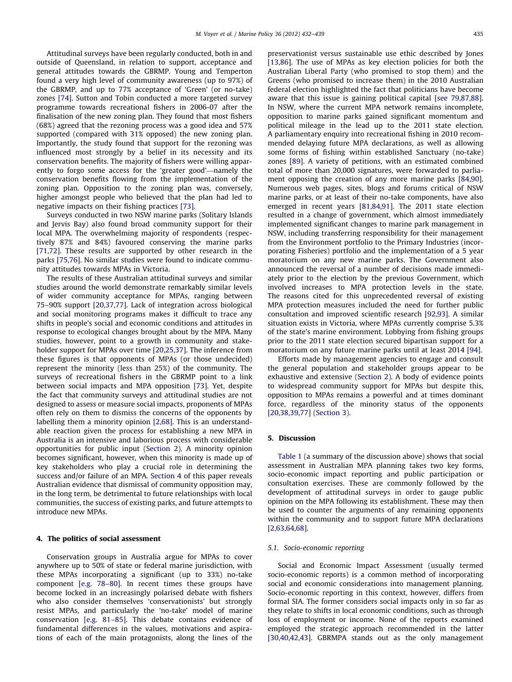Attitudinal surveys have been regularly conducted, both in and outside of Queensland, in relation to support, acceptance and general attitudes towards the GBRMP. Young and Temperton found a very high level of community awareness (up to 97%) of the GBRMP, and up to 77% acceptance of 'Green' (or no-take) zones [\[74\]](#page-7-0). Sutton and Tobin conducted a more targeted survey programme towards recreational fishers in 2006-07 after the finalisation of the new zoning plan. They found that most fishers (68%) agreed that the rezoning process was a good idea and 57% supported (compared with 31% opposed) the new zoning plan. Importantly, the study found that support for the rezoning was influenced most strongly by a belief in its necessity and its conservation benefits. The majority of fishers were willing apparently to forgo some access for the 'greater good'—namely the conservation benefits flowing from the implementation of the zoning plan. Opposition to the zoning plan was, conversely, higher amongst people who believed that the plan had led to negative impacts on their fishing practices [\[73\].](#page-7-0)

Surveys conducted in two NSW marine parks (Solitary Islands and Jervis Bay) also found broad community support for their local MPA. The overwhelming majority of respondents (respectively 87% and 84%) favoured conserving the marine parks [\[71,72\]](#page-7-0). These results are supported by other research in the parks [\[75,76](#page-7-0)]. No similar studies were found to indicate community attitudes towards MPAs in Victoria.

The results of these Australian attitudinal surveys and similar studies around the world demonstrate remarkably similar levels of wider community acceptance for MPAs, ranging between 75–90% support [\[20,37](#page-6-0)[,77](#page-7-0)]. Lack of integration across biological and social monitoring programs makes it difficult to trace any shifts in people's social and economic conditions and attitudes in response to ecological changes brought about by the MPA. Many studies, however, point to a growth in community and stakeholder support for MPAs over time [\[20,25,37\]](#page-6-0). The inference from these figures is that opponents of MPAs (or those undecided) represent the minority (less than 25%) of the community. The surveys of recreational fishers in the GBRMP point to a link between social impacts and MPA opposition [\[73\]](#page-7-0). Yet, despite the fact that community surveys and attitudinal studies are not designed to assess or measure social impacts, proponents of MPAs often rely on them to dismiss the concerns of the opponents by labelling them a minority opinion [\[2](#page-5-0),[68\]](#page-6-0). This is an understandable reaction given the process for establishing a new MPA in Australia is an intensive and laborious process with considerable opportunities for public input [\(Section 2](#page-1-0)). A minority opinion becomes significant, however, when this minority is made up of key stakeholders who play a crucial role in determining the success and/or failure of an MPA. Section 4 of this paper reveals Australian evidence that dismissal of community opposition may, in the long term, be detrimental to future relationships with local communities, the success of existing parks, and future attempts to introduce new MPAs.

#### 4. The politics of social assessment

Conservation groups in Australia argue for MPAs to cover anywhere up to 50% of state or federal marine jurisdiction, with these MPAs incorporating a significant (up to 33%) no-take component [\[e.g. 78–80\].](#page-7-0) In recent times these groups have become locked in an increasingly polarised debate with fishers who also consider themselves 'conservationists' but strongly resist MPAs, and particularly the 'no-take' model of marine conservation [\[e.g. 81–85\]](#page-7-0). This debate contains evidence of fundamental differences in the values, motivations and aspirations of each of the main protagonists, along the lines of the preservationist versus sustainable use ethic described by Jones [\[13](#page-6-0)[,86\]](#page-7-0). The use of MPAs as key election policies for both the Australian Liberal Party (who promised to stop them) and the Greens (who promised to increase them) in the 2010 Australian federal election highlighted the fact that politicians have become aware that this issue is gaining political capital [\[see 79,87](#page-7-0),[88\]](#page-7-0). In NSW, where the current MPA network remains incomplete, opposition to marine parks gained significant momentum and political mileage in the lead up to the 2011 state election. A parliamentary enquiry into recreational fishing in 2010 recommended delaying future MPA declarations, as well as allowing some forms of fishing within established Sanctuary (no-take) zones [\[89\].](#page-7-0) A variety of petitions, with an estimated combined total of more than 20,000 signatures, were forwarded to parliament opposing the creation of any more marine parks [\[84,90\]](#page-7-0). Numerous web pages, sites, blogs and forums critical of NSW marine parks, or at least of their no-take components, have also emerged in recent years [\[81,84,91\]](#page-7-0). The 2011 state election resulted in a change of government, which almost immediately implemented significant changes to marine park management in NSW, including transferring responsibility for their management from the Environment portfolio to the Primary Industries (incorporating Fisheries) portfolio and the implementation of a 5 year moratorium on any new marine parks. The Government also announced the reversal of a number of decisions made immediately prior to the election by the previous Government, which involved increases to MPA protection levels in the state. The reasons cited for this unprecedented reversal of existing MPA protection measures included the need for further public consultation and improved scientific research [\[92,93\]](#page-7-0). A similar situation exists in Victoria, where MPAs currently comprise 5.3% of the state's marine environment. Lobbying from fishing groups prior to the 2011 state election secured bipartisan support for a moratorium on any future marine parks until at least 2014 [\[94\]](#page-7-0).

Efforts made by management agencies to engage and consult the general population and stakeholder groups appear to be exhaustive and extensive [\(Section 2](#page-1-0)). A body of evidence points to widespread community support for MPAs but despite this, opposition to MPAs remains a powerful and at times dominant force, regardless of the minority status of the opponents [\[20,38,39](#page-6-0)[,77\]](#page-7-0) ([Section 3](#page-2-0)).

# 5. Discussion

[Table 1](#page-4-0) (a summary of the discussion above) shows that social assessment in Australian MPA planning takes two key forms, socio-economic impact reporting and public participation or consultation exercises. These are commonly followed by the development of attitudinal surveys in order to gauge public opinion on the MPA following its establishment. These may then be used to counter the arguments of any remaining opponents within the community and to support future MPA declarations [\[2](#page-5-0)[,63,64,68\]](#page-6-0).

#### 5.1. Socio-economic reporting

Social and Economic Impact Assessment (usually termed socio-economic reports) is a common method of incorporating social and economic considerations into management planning. Socio-economic reporting in this context, however, differs from formal SIA. The former considers social impacts only in so far as they relate to shifts in local economic conditions, such as through loss of employment or income. None of the reports examined employed the strategic approach recommended in the latter [\[30,40,42,43\]](#page-6-0). GBRMPA stands out as the only management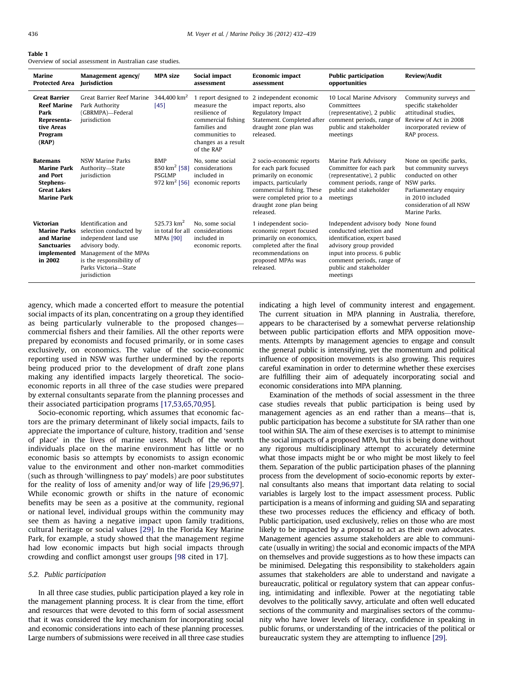<span id="page-4-0"></span>

| Tabl<br>k |  |
|-----------|--|
|-----------|--|

Overview of social assessment in Australian case studies.

| <b>Marine</b><br><b>Protected Area</b>                                                                     | Management agency/<br><b>Jurisdiction</b>                                                                                                                                            | <b>MPA</b> size                                                                     | Social impact<br>assessment                                                                                                                       | <b>Economic impact</b><br>assessment                                                                                                                                                                  | <b>Public participation</b><br>opportunities                                                                                                                                                                                  | Review/Audit                                                                                                                                                                   |
|------------------------------------------------------------------------------------------------------------|--------------------------------------------------------------------------------------------------------------------------------------------------------------------------------------|-------------------------------------------------------------------------------------|---------------------------------------------------------------------------------------------------------------------------------------------------|-------------------------------------------------------------------------------------------------------------------------------------------------------------------------------------------------------|-------------------------------------------------------------------------------------------------------------------------------------------------------------------------------------------------------------------------------|--------------------------------------------------------------------------------------------------------------------------------------------------------------------------------|
| <b>Great Barrier</b><br><b>Reef Marine</b><br>Park<br>Representa-<br>tive Areas<br>Program<br>(RAP)        | Great Barrier Reef Marine<br>Park Authority<br>(GBRMPA)-Federal<br>jurisdiction                                                                                                      | 344,400 $km2$<br>[45]                                                               | 1 report designed to<br>measure the<br>resilience of<br>commercial fishing<br>families and<br>communities to<br>changes as a result<br>of the RAP | 2 independent economic<br>impact reports, also<br>Regulatory Impact<br>Statement, Completed after<br>draught zone plan was<br>released.                                                               | 10 Local Marine Advisory<br>Committees<br>(representative), 2 public<br>comment periods, range of<br>public and stakeholder<br>meetings                                                                                       | Community surveys and<br>specific stakeholder<br>attitudinal studies.<br>Review of Act in 2008<br>incorporated review of<br>RAP process.                                       |
| <b>Batemans</b><br><b>Marine Park</b><br>and Port<br>Stephens-<br><b>Great Lakes</b><br><b>Marine Park</b> | NSW Marine Parks<br>Authority-State<br>jurisdiction                                                                                                                                  | <b>BMP</b><br>850 km <sup>2</sup> [58]<br><b>PSGLMP</b><br>972 km <sup>2</sup> [56] | No. some social<br>considerations<br>included in<br>economic reports                                                                              | 2 socio-economic reports<br>for each park focused<br>primarily on economic<br>impacts, particularly<br>commercial fishing. These<br>were completed prior to a<br>draught zone plan being<br>released. | Marine Park Advisory<br>Committee for each park<br>(representative), 2 public<br>comment periods, range of<br>public and stakeholder<br>meetings                                                                              | None on specific parks,<br>but community surveys<br>conducted on other<br>NSW parks.<br>Parliamentary enquiry<br>in 2010 included<br>consideration of all NSW<br>Marine Parks. |
| <b>Victorian</b><br><b>Marine Parks</b><br>and Marine<br><b>Sanctuaries</b><br>implemented<br>in 2002      | Identification and<br>selection conducted by<br>independent land use<br>advisory body.<br>Management of the MPAs<br>is the responsibility of<br>Parks Victoria-State<br>jurisdiction | 525.73 $km2$<br>in total for all<br><b>MPAs [90]</b>                                | No. some social<br>considerations<br>included in<br>economic reports.                                                                             | 1 independent socio-<br>economic report focused<br>primarily on economics,<br>completed after the final<br>recommendations on<br>proposed MPAs was<br>released.                                       | Independent advisory body None found<br>conducted selection and<br>identification, expert based<br>advisory group provided<br>input into process. 6 public<br>comment periods, range of<br>public and stakeholder<br>meetings |                                                                                                                                                                                |

agency, which made a concerted effort to measure the potential social impacts of its plan, concentrating on a group they identified as being particularly vulnerable to the proposed changes commercial fishers and their families. All the other reports were prepared by economists and focused primarily, or in some cases exclusively, on economics. The value of the socio-economic reporting used in NSW was further undermined by the reports being produced prior to the development of draft zone plans making any identified impacts largely theoretical. The socioeconomic reports in all three of the case studies were prepared by external consultants separate from the planning processes and their associated participation programs [\[17,53,65](#page-6-0),[70,95](#page-7-0)].

Socio-economic reporting, which assumes that economic factors are the primary determinant of likely social impacts, fails to appreciate the importance of culture, history, tradition and 'sense of place' in the lives of marine users. Much of the worth individuals place on the marine environment has little or no economic basis so attempts by economists to assign economic value to the environment and other non-market commodities (such as through 'willingness to pay' models) are poor substitutes for the reality of loss of amenity and/or way of life [\[29,](#page-6-0)[96,97\]](#page-7-0). While economic growth or shifts in the nature of economic benefits may be seen as a positive at the community, regional or national level, individual groups within the community may see them as having a negative impact upon family traditions, cultural heritage or social values [\[29\].](#page-6-0) In the Florida Key Marine Park, for example, a study showed that the management regime had low economic impacts but high social impacts through crowding and conflict amongst user groups [\[98](#page-7-0) cited in 17].

# 5.2. Public participation

In all three case studies, public participation played a key role in the management planning process. It is clear from the time, effort and resources that were devoted to this form of social assessment that it was considered the key mechanism for incorporating social and economic considerations into each of these planning processes. Large numbers of submissions were received in all three case studies indicating a high level of community interest and engagement. The current situation in MPA planning in Australia, therefore, appears to be characterised by a somewhat perverse relationship between public participation efforts and MPA opposition movements. Attempts by management agencies to engage and consult the general public is intensifying, yet the momentum and political influence of opposition movements is also growing. This requires careful examination in order to determine whether these exercises are fulfilling their aim of adequately incorporating social and economic considerations into MPA planning.

Examination of the methods of social assessment in the three case studies reveals that public participation is being used by management agencies as an end rather than a means—that is, public participation has become a substitute for SIA rather than one tool within SIA. The aim of these exercises is to attempt to minimise the social impacts of a proposed MPA, but this is being done without any rigorous multidisciplinary attempt to accurately determine what those impacts might be or who might be most likely to feel them. Separation of the public participation phases of the planning process from the development of socio-economic reports by external consultants also means that important data relating to social variables is largely lost to the impact assessment process. Public participation is a means of informing and guiding SIA and separating these two processes reduces the efficiency and efficacy of both. Public participation, used exclusively, relies on those who are most likely to be impacted by a proposal to act as their own advocates. Management agencies assume stakeholders are able to communicate (usually in writing) the social and economic impacts of the MPA on themselves and provide suggestions as to how these impacts can be minimised. Delegating this responsibility to stakeholders again assumes that stakeholders are able to understand and navigate a bureaucratic, political or regulatory system that can appear confusing, intimidating and inflexible. Power at the negotiating table devolves to the politically savvy, articulate and often well educated sections of the community and marginalises sectors of the community who have lower levels of literacy, confidence in speaking in public forums, or understanding of the intricacies of the political or bureaucratic system they are attempting to influence [\[29\]](#page-6-0).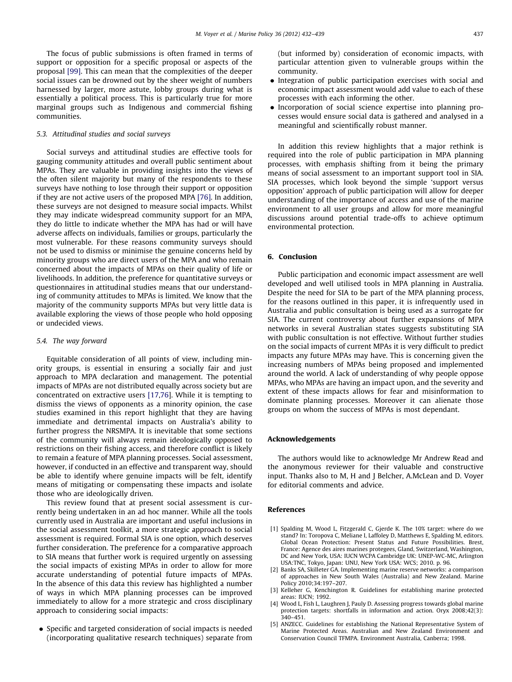<span id="page-5-0"></span>The focus of public submissions is often framed in terms of support or opposition for a specific proposal or aspects of the proposal [\[99\].](#page-7-0) This can mean that the complexities of the deeper social issues can be drowned out by the sheer weight of numbers harnessed by larger, more astute, lobby groups during what is essentially a political process. This is particularly true for more marginal groups such as Indigenous and commercial fishing communities.

#### 5.3. Attitudinal studies and social surveys

Social surveys and attitudinal studies are effective tools for gauging community attitudes and overall public sentiment about MPAs. They are valuable in providing insights into the views of the often silent majority but many of the respondents to these surveys have nothing to lose through their support or opposition if they are not active users of the proposed MPA [\[76\]](#page-7-0). In addition, these surveys are not designed to measure social impacts. Whilst they may indicate widespread community support for an MPA, they do little to indicate whether the MPA has had or will have adverse affects on individuals, families or groups, particularly the most vulnerable. For these reasons community surveys should not be used to dismiss or minimise the genuine concerns held by minority groups who are direct users of the MPA and who remain concerned about the impacts of MPAs on their quality of life or livelihoods. In addition, the preference for quantitative surveys or questionnaires in attitudinal studies means that our understanding of community attitudes to MPAs is limited. We know that the majority of the community supports MPAs but very little data is available exploring the views of those people who hold opposing or undecided views.

#### 5.4. The way forward

Equitable consideration of all points of view, including minority groups, is essential in ensuring a socially fair and just approach to MPA declaration and management. The potential impacts of MPAs are not distributed equally across society but are concentrated on extractive users [\[17,](#page-6-0)[76](#page-7-0)]. While it is tempting to dismiss the views of opponents as a minority opinion, the case studies examined in this report highlight that they are having immediate and detrimental impacts on Australia's ability to further progress the NRSMPA. It is inevitable that some sections of the community will always remain ideologically opposed to restrictions on their fishing access, and therefore conflict is likely to remain a feature of MPA planning processes. Social assessment, however, if conducted in an effective and transparent way, should be able to identify where genuine impacts will be felt, identify means of mitigating or compensating these impacts and isolate those who are ideologically driven.

This review found that at present social assessment is currently being undertaken in an ad hoc manner. While all the tools currently used in Australia are important and useful inclusions in the social assessment toolkit, a more strategic approach to social assessment is required. Formal SIA is one option, which deserves further consideration. The preference for a comparative approach to SIA means that further work is required urgently on assessing the social impacts of existing MPAs in order to allow for more accurate understanding of potential future impacts of MPAs. In the absence of this data this review has highlighted a number of ways in which MPA planning processes can be improved immediately to allow for a more strategic and cross disciplinary approach to considering social impacts:

- Specific and targeted consideration of social impacts is needed (incorporating qualitative research techniques) separate from (but informed by) consideration of economic impacts, with particular attention given to vulnerable groups within the community.

- Integration of public participation exercises with social and economic impact assessment would add value to each of these processes with each informing the other.
- Incorporation of social science expertise into planning processes would ensure social data is gathered and analysed in a meaningful and scientifically robust manner.

In addition this review highlights that a major rethink is required into the role of public participation in MPA planning processes, with emphasis shifting from it being the primary means of social assessment to an important support tool in SIA. SIA processes, which look beyond the simple 'support versus opposition' approach of public participation will allow for deeper understanding of the importance of access and use of the marine environment to all user groups and allow for more meaningful discussions around potential trade-offs to achieve optimum environmental protection.

#### 6. Conclusion

Public participation and economic impact assessment are well developed and well utilised tools in MPA planning in Australia. Despite the need for SIA to be part of the MPA planning process, for the reasons outlined in this paper, it is infrequently used in Australia and public consultation is being used as a surrogate for SIA. The current controversy about further expansions of MPA networks in several Australian states suggests substituting SIA with public consultation is not effective. Without further studies on the social impacts of current MPAs it is very difficult to predict impacts any future MPAs may have. This is concerning given the increasing numbers of MPAs being proposed and implemented around the world. A lack of understanding of why people oppose MPAs, who MPAs are having an impact upon, and the severity and extent of these impacts allows for fear and misinformation to dominate planning processes. Moreover it can alienate those groups on whom the success of MPAs is most dependant.

# Acknowledgements

The authors would like to acknowledge Mr Andrew Read and the anonymous reviewer for their valuable and constructive input. Thanks also to M, H and J Belcher, A.McLean and D. Voyer for editorial comments and advice.

# References

- [1] Spalding M, Wood L, Fitzgerald C, Gjerde K. The 10% target: where do we stand? In: Toropova C, Meliane I, Laffoley D, Matthews E, Spalding M, editors. Global Ocean Protection: Present Status and Future Possibilities. Brest, France: Agence des aires marines protegees, Gland, Switzerland, Washington, DC and New York, USA: IUCN WCPA Cambridge UK: UNEP-WC-MC, Arlington USA:TNC, Tokyo, Japan: UNU, New York USA: WCS; 2010. p. 96.
- [2] Banks SA, Skilleter GA. Implementing marine reserve networks: a comparison of approaches in New South Wales (Australia) and New Zealand. Marine Policy 2010;34:197–207.
- [3] Kelleher G, Kenchington R. Guidelines for establishing marine protected areas: IUCN; 1992.
- [4] Wood L, Fish L, Laughren J, Pauly D. Assessing progress towards global marine protection targets: shortfalls in information and action. Oryx 2008;42(3): 340–451.
- ANZECC. Guidelines for establishing the National Representative System of Marine Protected Areas. Australian and New Zealand Environment and Conservation Council TFMPA. Environment Australia, Canberra; 1998.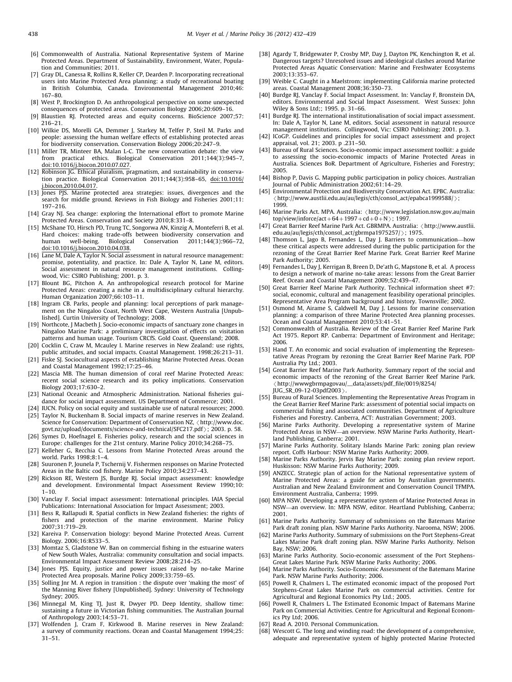- <span id="page-6-0"></span>[6] Commonwealth of Australia. National Representative System of Marine Protected Areas. Department of Sustainability, Environment, Water, Population and Communities; 2011.
- [7] Gray DL, Canessa R, Rollins R, Keller CP, Dearden P. Incorporating recreational users into Marine Protected Area planning: a study of recreational boating in British Columbia, Canada. Environmental Management 2010;46: 167–80.
- [8] West P, Brockington D. An anthropological perspective on some unexpected consequences of protected areas. Conservation Biology 2006;20:609–16.
- [9] Blaustien RJ. Protected areas and equity concerns. BioScience 2007;57: 216–21.
- [10] Wilkie DS, Morelli GA, Demmer J, Starkey M, Telfer P, Steil M. Parks and people: assessing the human welfare effects of establishing protected areas for biodiversity conservation. Conservation Biology 2006;20:247–9.
- [11] Miller TR, Minteer BA, Malan L-C. The new conservation debate: the view from practical ethics. Biological Conservation 2011;144(3):945–7, doi:[10.1016/j.biocon.2010.07.027.](dx.doi.org/10.1016/j.biocon.2010.07.027)
- [12] Robinson JG. Ethical pluralism, pragmatism, and sustainability in conservation practice. Biological Conservation 2011;144(3):958–65, doi:[10.1016/](dx.doi.org/10.1016/j.biocon.2010.04.017) [j.biocon.2010.04.017.](dx.doi.org/10.1016/j.biocon.2010.04.017)
- [13] Jones PJS. Marine protected area strategies: issues, divergences and the search for middle ground. Reviews in Fish Biology and Fisheries 2001;11: 197–216.
- [14] Gray NJ. Sea change: exploring the International effort to promote Marine Protected Areas. Conservation and Society 2010;8:331–8.
- [15] McShane TO, Hirsch PD, Trung TC, Songorwa AN, Kinzig A, Monteferri B, et al. Hard choices: making trade-offs between biodiversity conservation and<br>human well-being. Biological Conservation 2011:144(3):966-72. human well-being. Biological Conservation 2011;144(3):966–72, doi:[10.1016/j.biocon.2010.04.038.](dx.doi.org/10.1016/j.biocon.2010.04.038)
- [16] Lane M, Dale A, Taylor N. Social assessment in natural resource management: promise, potentiality, and practice. In: Dale A, Taylor N, Lane M, editors. Social assessment in natural resource management institutions. Collingwood, Vic: CSIRO Publishing; 2001. p. 3.
- [17] Blount BG, Pitchon A. An anthropological research protocol for Marine Protected Areas: creating a niche in a multidisciplinary cultural hierarchy. Human Organization 2007;66:103–11.
- [18] Ingram CB. Parks, people and planning: local perceptions of park management on the Ningaloo Coast, North West Cape, Western Australia [Unpublished]. Curtin University of Technology; 2008.
- [19] Northcote, J Macbeth J. Socio-economic impacts of sanctuary zone changes in Ningaloo Marine Park: a preliminary investigation of effects on visitation patterns and human usage. Tourism CRCfS. Gold Coast. Queensland; 2008.
- [20] Cocklin C, Craw M, Mcauley I. Marine reserves in New Zealand: use rights, public attitudes, and social impacts. Coastal Management. 1998;26:213–31.
- [21] Fiske SJ. Sociocultural aspects of establishing Marine Protected Areas. Ocean and Coastal Management 1992;17:25–46.
- [22] Mascia MB. The human dimension of coral reef Marine Protected Areas: recent social science research and its policy implications. Conservation Biology 2003;17:630–2.
- [23] National Oceanic and Atmospheric Administration. National fisheries guidance for social impact assessment. US Department of Commerce; 2001.
- [24] IUCN. Policy on social equity and sustainable use of natural resources; 2000. [25] Taylor N, Buckenham B. Social impacts of marine reserves in New Zealand. Science for Conservation: Department of Conservation NZ,  $\langle$  [http://www.doc.](http://www.doc.govt.nz/upload/documents/science-and-technical/SFC217.pdf) [govt.nz/upload/documents/science-and-technical/SFC217.pdf](http://www.doc.govt.nz/upload/documents/science-and-technical/SFC217.pdf) >; 2003. p. 58.
- [26] Symes D, Hoefnagel E. Fisheries policy, research and the social sciences in Europe: challenges for the 21st century. Marine Policy 2010;34:268–75.
- [27] Kelleher G, Recchia C. Lessons from Marine Protected Areas around the world. Parks 1998;8:1–4.
- [28] Suuronen P, Jounela P, Tschernij V. Fishermen responses on Marine Protected Areas in the Baltic cod fishery. Marine Policy 2010;34:237–43.
- [29] Rickson RE, Western JS, Burdge RJ. Social impact assessment: knowledge and development. Environmental Impact Assessment Review 1990;10:  $1 - 10$
- [30] Vanclay F. Social impact assessment: International principles. IAIA Special Publications: International Association for Impact Assessment; 2003.
- [31] Bess R, Rallapudi R. Spatial conflicts in New Zealand fisheries: the rights of fishers and protection of the marine environment. Marine Policy 2007;31:719–29.
- [32] Kareiva P. Conservation biology: beyond Marine Protected Areas. Current Biology. 2006;16:R533–5.
- [33] Momtaz S, Gladstone W. Ban on commercial fishing in the estuarine waters of New South Wales, Australia: community consultation and social impacts. Environmental Impact Assessment Review 2008;28:214–25.
- [34] Jones PJS. Equity, justice and power issues raised by no-take Marine Protected Area proposals. Marine Policy 2009;33:759–65.
- [35] Solling Jnr M. A region in transition : the dispute over 'making the most' of the Manning River fishery [Unpublished]. Sydney: University of Technology Sydney; 2005.
- [36] Minnegal M, King TJ, Just R, Dwyer PD. Deep Identity, shallow time: sustaining a future in Victorian fishing communities. The Australian Journal of Anthropology 2003;14:53–71.
- [37] Wolfenden J, Cram F, Kirkwood B. Marine reserves in New Zealand: a survey of community reactions. Ocean and Coastal Management 1994;25: 31–51.
- [38] Agardy T, Bridgewater P, Crosby MP, Day J, Dayton PK, Kenchington R, et al. Dangerous targets? Unresolved issues and ideological clashes around Marine Protected Areas Aquatic Conservation: Marine and Freshwater Ecosystems 2003;13:353–67.
- [39] Weible C. Caught in a Maelstrom: implementing California marine protected areas. Coastal Management 2008;36:350–73.
- [40] Burdge RJ, Vanclay F. Social Impact Assessment. In: Vanclay F, Bronstein DA, editors. Environmental and Social Impact Assessment. West Sussex: John Wiley & Sons Ltd;; 1995. p. 31–66.
- [41] Burdge RJ. The international institutionalisation of social impact assessment. In: Dale A, Taylor N, Lane M, editors. Social assessment in natural resource management institutions. Collingwood, Vic: CSIRO Publishing; 2001. p. 3.
- [42] ICoGP. Guidelines and principles for social impact assessment and project appraisal, vol. 21; 2003. p .231–50.
- [43] Bureau of Rural Sciences. Socio-economic impact assessment toolkit: a guide to assessing the socio-economic impacts of Marine Protected Areas in Australia. Sciences BoR. Department of Agriculture, Fisheries and Forestry; 2005.
- [44] Bishop P, Davis G. Mapping public participation in policy choices. Australian Journal of Public Administration 2002;61:14–29.
- [45] Environmental Protection and Biodiversity Conservation Act. EPBC. Australia:  $\langle$ [http://www.austlii.edu.au/au/legis/cth/consol\\_act/epabca1999588/](http://www.austlii.edu.au/au/legis/cth/consol_act/epabca1999588/) $\rangle$ ; 1999.
- [46] Marine Parks Act. MPA. Australia:  $\langle$ [http://www.legislation.nsw.gov.au/main](http://www.legislation.nsw.gov.au/maintop/view/inforce/act+64+1997+cd+0+N)<br>top/view/inforce/act+64+1997+cd+0+N>: 1997. [top/view/inforce/act](http://www.legislation.nsw.gov.au/maintop/view/inforce/act+64+1997+cd+0+N)+[64](http://www.legislation.nsw.gov.au/maintop/view/inforce/act+64+1997+cd+0+N)+[1997](http://www.legislation.nsw.gov.au/maintop/view/inforce/act+64+1997+cd+0+N)+[cd](http://www.legislation.nsw.gov.au/maintop/view/inforce/act+64+1997+cd+0+N)+[0](http://www.legislation.nsw.gov.au/maintop/view/inforce/act+64+1997+cd+0+N)+[N](http://www.legislation.nsw.gov.au/maintop/view/inforce/act+64+1997+cd+0+N)); 1997.<br>Great Barrier Reef Marine Park Act, GBRMPA, Austral
- [47] Great Barrier Reef Marine Park Act. GBRMPA. Australia: /[http://www.austlii.](http://www.austlii.edu.au/au/legis/cth/consol_act/gbrmpa1975257/) [edu.au/au/legis/cth/consol\\_act/gbrmpa1975257/](http://www.austlii.edu.au/au/legis/cth/consol_act/gbrmpa1975257/) $\rangle$ ; 1975.
- [48] Thomson L, Jago B, Fernandes L, Day J. Barriers to communication—how these critical aspects were addressed during the public participation for the rezoning of the Great Barrier Reef Marine Park. Great Barrier Reef Marine Park Authority; 2005.
- [49] Fernandes L, Day J, Kerrigan B, Breen D, De'ath G, Mapstone B, et al. A process to design a network of marine no-take areas: lessons from the Great Barrier Reef. Ocean and Coastal Management 2009;52:439–47.
- [50] Great Barrier Reef Marine Park Authority. Technical information sheet #7: social, economic, cultural and management feasibility operational principles. Representative Area Program background and history. Townsville; 2002.
- Osmond M, Airame S, Caldwell M, Day J. Lessons for marine conservation planning: a comparison of three Marine Protected Area planning processes. Ocean and Coastal Management 2010;53:41–51.
- [52] Commonwealth of Australia. Review of the Great Barrier Reef Marine Park Act 1975. Report RP. Canberra: Department of Environment and Heritage; 2006.
- [53] Hand T. An economic and social evaluation of implementing the Representative Areas Program by rezoning the Great Barrier Reef Marine Park. PDP Australia Pty Ltd.; 2003.
- [54] Great Barrier Reef Marine Park Authority. Summary report of the social and economic impacts of the rezoning of the Great Barrier Reef Marine Park. /[http://wwwgbrmpagovau/\\_\\_data/assets/pdf\\_file/0019/8254/](http://wwwgbrmpagovau/__data/assets/pdf_file/0019/8254/JUG_SR_09-12-03pdf2003)  $JUG_SR_09-12-03pdf2003$
- [55] Bureau of Rural Sciences. Implementing the Representative Areas Program in the Great Barrier Reef Marine Park: assessment of potential social impacts on commercial fishing and associated communities. Department of Agriculture Fisheries and Forestry. Canberra, ACT: Australian Government; 2003.
- [56] Marine Parks Authority. Developing a representative system of Marine Protected Areas in NSW—an overview. NSW Marine Parks Authority, Heartland Publishing, Canberra; 2001.
- [57] Marine Parks Authority. Solitary Islands Marine Park: zoning plan review report. Coffs Harbour: NSW Marine Parks Authority; 2009.
- [58] Marine Parks Authority. Jervis Bay Marine Park: zoning plan review report. Huskisson: NSW Marine Parks Authority; 2009.
- [59] ANZECC. Strategic plan of action for the National representative system of Marine Protected Areas: a guide for action by Australian governments. Australian and New Zealand Environment and Conservation Council TFMPA. Environment Australia, Canberra; 1999.
- [60] MPA NSW. Developing a representative system of Marine Protected Areas in NSW—an overview. In: MPA NSW, editor. Heartland Publishing, Canberra; 2001.
- [61] Marine Parks Authority. Summary of submissions on the Batemans Marine Park draft zoning plan. NSW Marine Parks Authority. Narooma, NSW; 2006.
- [62] Marine Parks Authority. Summary of submissions on the Port Stephens-Great Lakes Marine Park draft zoning plan. NSW Marine Parks Authority. Nelson Bay, NSW; 2006.
- [63] Marine Parks Authority. Socio-economic assessment of the Port Stephens-Great Lakes Marine Park. NSW Marine Parks Authority; 2006.
- [64] Marine Parks Authority. Socio-Economic Assessment of the Batemans Marine Park. NSW Marine Parks Authority; 2006.
- [65] Powell R, Chalmers L. The estimated economic impact of the proposed Port Stephens-Great Lakes Marine Park on commercial activities. Centre for Agricultural and Regional Economics Pty Ltd.; 2005.
- [66] Powell R, Chalmers L. The Estimated Economic Impact of Batemans Marine Park on Commercial Activities. Centre for Agricultural and Regional Economics Pty Ltd; 2006.
- Read A. 2010. Personal Communication.
- [68] Wescott G. The long and winding road: the development of a comprehensive, adequate and representative system of highly protected Marine Protected